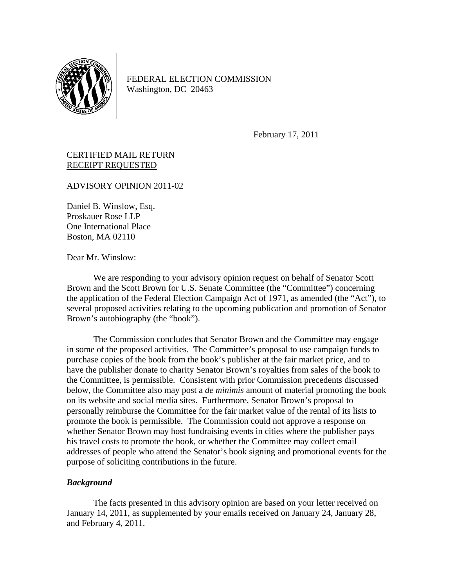

FEDERAL ELECTION COMMISSION Washington, DC 20463

February 17, 2011

# CERTIFIED MAIL RETURN RECEIPT REQUESTED

ADVISORY OPINION 2011-02

Daniel B. Winslow, Esq. Proskauer Rose LLP One International Place Boston, MA 02110

Dear Mr. Winslow:

We are responding to your advisory opinion request on behalf of Senator Scott Brown and the Scott Brown for U.S. Senate Committee (the "Committee") concerning the application of the Federal Election Campaign Act of 1971, as amended (the "Act"), to several proposed activities relating to the upcoming publication and promotion of Senator Brown's autobiography (the "book").

The Commission concludes that Senator Brown and the Committee may engage in some of the proposed activities. The Committee's proposal to use campaign funds to purchase copies of the book from the book's publisher at the fair market price, and to have the publisher donate to charity Senator Brown's royalties from sales of the book to the Committee, is permissible. Consistent with prior Commission precedents discussed below, the Committee also may post a *de minimis* amount of material promoting the book on its website and social media sites. Furthermore, Senator Brown's proposal to personally reimburse the Committee for the fair market value of the rental of its lists to promote the book is permissible. The Commission could not approve a response on whether Senator Brown may host fundraising events in cities where the publisher pays his travel costs to promote the book, or whether the Committee may collect email addresses of people who attend the Senator's book signing and promotional events for the purpose of soliciting contributions in the future.

### *Background*

 The facts presented in this advisory opinion are based on your letter received on January 14, 2011, as supplemented by your emails received on January 24, January 28, and February 4, 2011.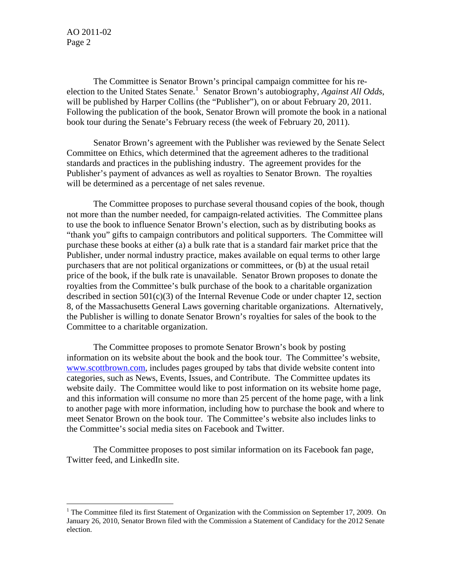The Committee is Senator Brown's principal campaign committee for his re-election to the United States Senate.<sup>[1](#page-1-0)</sup> Senator Brown's autobiography, *Against All Odds*, will be published by Harper Collins (the "Publisher"), on or about February 20, 2011. Following the publication of the book, Senator Brown will promote the book in a national book tour during the Senate's February recess (the week of February 20, 2011).

 Senator Brown's agreement with the Publisher was reviewed by the Senate Select Committee on Ethics, which determined that the agreement adheres to the traditional standards and practices in the publishing industry. The agreement provides for the Publisher's payment of advances as well as royalties to Senator Brown. The royalties will be determined as a percentage of net sales revenue.

 The Committee proposes to purchase several thousand copies of the book, though not more than the number needed, for campaign-related activities. The Committee plans to use the book to influence Senator Brown's election, such as by distributing books as "thank you" gifts to campaign contributors and political supporters. The Committee will purchase these books at either (a) a bulk rate that is a standard fair market price that the Publisher, under normal industry practice, makes available on equal terms to other large purchasers that are not political organizations or committees, or (b) at the usual retail price of the book, if the bulk rate is unavailable. Senator Brown proposes to donate the royalties from the Committee's bulk purchase of the book to a charitable organization described in section  $501(c)(3)$  of the Internal Revenue Code or under chapter 12, section 8, of the Massachusetts General Laws governing charitable organizations. Alternatively, the Publisher is willing to donate Senator Brown's royalties for sales of the book to the Committee to a charitable organization.

The Committee proposes to promote Senator Brown's book by posting information on its website about the book and the book tour. The Committee's website, [www.scottbrown.com,](http://www.scottbrown.com/) includes pages grouped by tabs that divide website content into categories, such as News, Events, Issues, and Contribute. The Committee updates its website daily. The Committee would like to post information on its website home page, and this information will consume no more than 25 percent of the home page, with a link to another page with more information, including how to purchase the book and where to meet Senator Brown on the book tour. The Committee's website also includes links to the Committee's social media sites on Facebook and Twitter.

The Committee proposes to post similar information on its Facebook fan page, Twitter feed, and LinkedIn site.

<span id="page-1-0"></span><sup>&</sup>lt;sup>1</sup> The Committee filed its first Statement of Organization with the Commission on September 17, 2009. On January 26, 2010, Senator Brown filed with the Commission a Statement of Candidacy for the 2012 Senate election.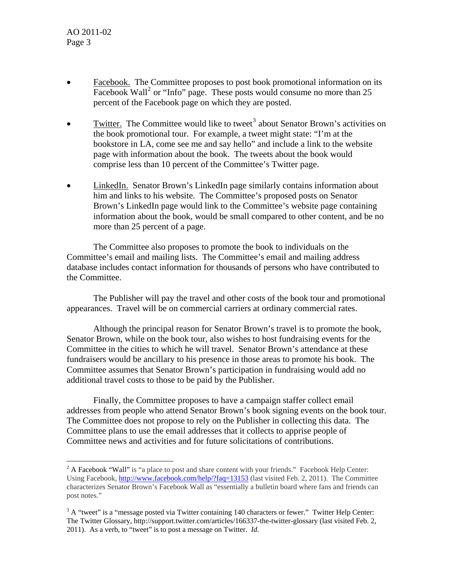- Facebook. The Committee proposes to post book promotional information on its Facebook Wall<sup>[2](#page-2-0)</sup> or "Info" page. These posts would consume no more than 25 percent of the Facebook page on which they are posted.
- Twitter. The Committee would like to tweet<sup>[3](#page-2-1)</sup> about Senator Brown's activities on the book promotional tour. For example, a tweet might state: "I'm at the bookstore in LA, come see me and say hello" and include a link to the website page with information about the book. The tweets about the book would comprise less than 10 percent of the Committee's Twitter page.
- LinkedIn. Senator Brown's LinkedIn page similarly contains information about him and links to his website. The Committee's proposed posts on Senator Brown's LinkedIn page would link to the Committee's website page containing information about the book, would be small compared to other content, and be no more than 25 percent of a page.

The Committee also proposes to promote the book to individuals on the Committee's email and mailing lists. The Committee's email and mailing address database includes contact information for thousands of persons who have contributed to the Committee.

The Publisher will pay the travel and other costs of the book tour and promotional appearances. Travel will be on commercial carriers at ordinary commercial rates.

Although the principal reason for Senator Brown's travel is to promote the book, Senator Brown, while on the book tour, also wishes to host fundraising events for the Committee in the cities to which he will travel. Senator Brown's attendance at these fundraisers would be ancillary to his presence in those areas to promote his book. The Committee assumes that Senator Brown's participation in fundraising would add no additional travel costs to those to be paid by the Publisher.

 Finally, the Committee proposes to have a campaign staffer collect email addresses from people who attend Senator Brown's book signing events on the book tour. The Committee does not propose to rely on the Publisher in collecting this data. The Committee plans to use the email addresses that it collects to apprise people of Committee news and activities and for future solicitations of contributions.

<span id="page-2-0"></span> $2^2$  A Facebook "Wall" is "a place to post and share content with your friends." Facebook Help Center: Using Facebook,<http://www.facebook.com/help/?faq=13153> (last visited Feb. 2, 2011). The Committee characterizes Senator Brown's Facebook Wall as "essentially a bulletin board where fans and friends can post notes."

<span id="page-2-1"></span> $3 A$  "tweet" is a "message posted via Twitter containing 140 characters or fewer." Twitter Help Center: The Twitter Glossary, http://support.twitter.com/articles/166337-the-twitter-glossary (last visited Feb. 2, 2011). As a verb, to "tweet" is to post a message on Twitter. *Id.*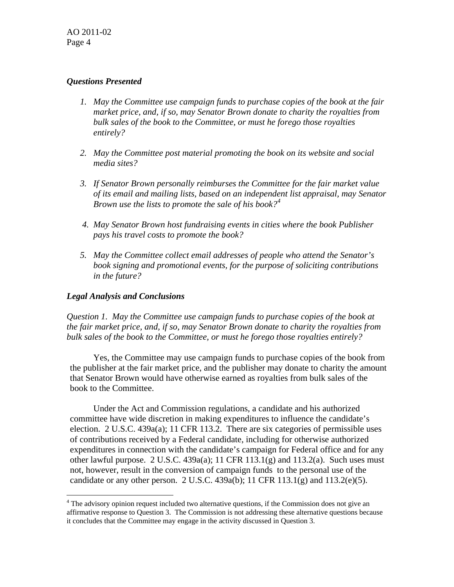# *Questions Presented*

- *1. May the Committee use campaign funds to purchase copies of the book at the fair market price, and, if so, may Senator Brown donate to charity the royalties from bulk sales of the book to the Committee, or must he forego those royalties entirely?*
- *2. May the Committee post material promoting the book on its website and social media sites?*
- *3. If Senator Brown personally reimburses the Committee for the fair market value of its email and mailing lists, based on an independent list appraisal, may Senator Brown use the lists to promote the sale of his book?[4](#page-3-0)*
- *4. May Senator Brown host fundraising events in cities where the book Publisher pays his travel costs to promote the book?*
- *5. May the Committee collect email addresses of people who attend the Senator's book signing and promotional events, for the purpose of soliciting contributions in the future?*

## *Legal Analysis and Conclusions*

 $\overline{a}$ 

*Question 1. May the Committee use campaign funds to purchase copies of the book at the fair market price, and, if so, may Senator Brown donate to charity the royalties from bulk sales of the book to the Committee, or must he forego those royalties entirely?* 

 Yes, the Committee may use campaign funds to purchase copies of the book from the publisher at the fair market price, and the publisher may donate to charity the amount that Senator Brown would have otherwise earned as royalties from bulk sales of the book to the Committee.

 Under the Act and Commission regulations, a candidate and his authorized committee have wide discretion in making expenditures to influence the candidate's election. 2 U.S.C. 439a(a); 11 CFR 113.2. There are six categories of permissible uses of contributions received by a Federal candidate, including for otherwise authorized expenditures in connection with the candidate's campaign for Federal office and for any other lawful purpose. 2 U.S.C. 439a(a); 11 CFR 113.1(g) and 113.2(a). Such uses must not, however, result in the conversion of campaign funds to the personal use of the candidate or any other person. 2 U.S.C. 439a(b); 11 CFR 113.1(g) and 113.2(e)(5).

<span id="page-3-0"></span><sup>&</sup>lt;sup>4</sup> The advisory opinion request included two alternative questions, if the Commission does not give an affirmative response to Question 3. The Commission is not addressing these alternative questions because it concludes that the Committee may engage in the activity discussed in Question 3.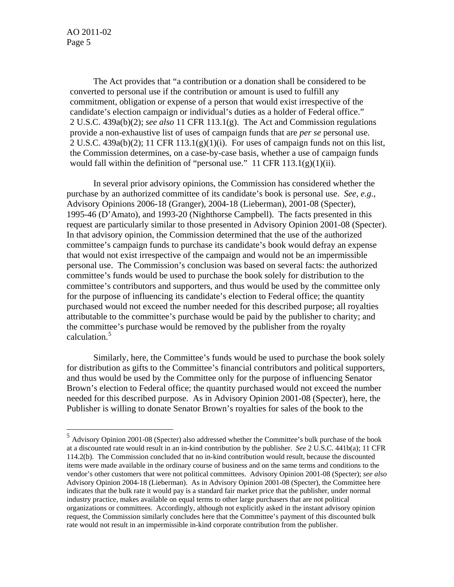The Act provides that "a contribution or a donation shall be considered to be converted to personal use if the contribution or amount is used to fulfill any commitment, obligation or expense of a person that would exist irrespective of the candidate's election campaign or individual's duties as a holder of Federal office." 2 U.S.C. 439a(b)(2); *see also* 11 CFR 113.1(g). The Act and Commission regulations provide a non-exhaustive list of uses of campaign funds that are *per se* personal use.  $2 U.S.C. 439a(b)(2); 11 CFR 113.1(g)(1)(i).$  For uses of campaign funds not on this list, the Commission determines, on a case-by-case basis, whether a use of campaign funds would fall within the definition of "personal use." 11 CFR  $113.1(g)(1)(ii)$ .

 In several prior advisory opinions, the Commission has considered whether the purchase by an authorized committee of its candidate's book is personal use. *See, e.g.*, Advisory Opinions 2006-18 (Granger), 2004-18 (Lieberman), 2001-08 (Specter), 1995-46 (D'Amato), and 1993-20 (Nighthorse Campbell).The facts presented in this request are particularly similar to those presented in Advisory Opinion 2001-08 (Specter). In that advisory opinion, the Commission determined that the use of the authorized committee's campaign funds to purchase its candidate's book would defray an expense that would not exist irrespective of the campaign and would not be an impermissible personal use. The Commission's conclusion was based on several facts: the authorized committee's funds would be used to purchase the book solely for distribution to the committee's contributors and supporters, and thus would be used by the committee only for the purpose of influencing its candidate's election to Federal office; the quantity purchased would not exceed the number needed for this described purpose; all royalties attributable to the committee's purchase would be paid by the publisher to charity; and the committee's purchase would be removed by the publisher from the royalty calculation.<sup>[5](#page-4-0)</sup>

Similarly, here, the Committee's funds would be used to purchase the book solely for distribution as gifts to the Committee's financial contributors and political supporters, and thus would be used by the Committee only for the purpose of influencing Senator Brown's election to Federal office; the quantity purchased would not exceed the number needed for this described purpose. As in Advisory Opinion 2001-08 (Specter), here, the Publisher is willing to donate Senator Brown's royalties for sales of the book to the

<span id="page-4-0"></span><sup>5</sup> Advisory Opinion 2001-08 (Specter) also addressed whether the Committee's bulk purchase of the book at a discounted rate would result in an in-kind contribution by the publisher. *See* 2 U.S.C. 441b(a); 11 CFR 114.2(b). The Commission concluded that no in-kind contribution would result, because the discounted items were made available in the ordinary course of business and on the same terms and conditions to the vendor's other customers that were not political committees. Advisory Opinion 2001-08 (Specter); *see also*  Advisory Opinion 2004-18 (Lieberman). As in Advisory Opinion 2001-08 (Specter), the Committee here indicates that the bulk rate it would pay is a standard fair market price that the publisher, under normal industry practice, makes available on equal terms to other large purchasers that are not political organizations or committees. Accordingly, although not explicitly asked in the instant advisory opinion request, the Commission similarly concludes here that the Committee's payment of this discounted bulk rate would not result in an impermissible in-kind corporate contribution from the publisher.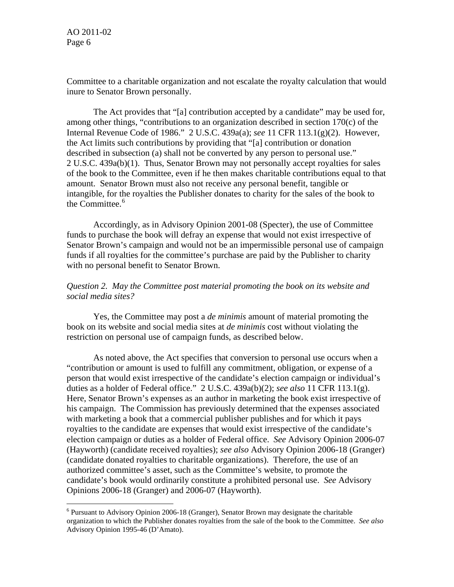Committee to a charitable organization and not escalate the royalty calculation that would inure to Senator Brown personally.

The Act provides that "[a] contribution accepted by a candidate" may be used for, among other things, "contributions to an organization described in section 170(c) of the Internal Revenue Code of 1986." 2 U.S.C. 439a(a); *see* 11 CFR 113.1(g)(2). However, the Act limits such contributions by providing that "[a] contribution or donation described in subsection (a) shall not be converted by any person to personal use." 2 U.S.C. 439a(b)(1). Thus, Senator Brown may not personally accept royalties for sales of the book to the Committee, even if he then makes charitable contributions equal to that amount. Senator Brown must also not receive any personal benefit, tangible or intangible, for the royalties the Publisher donates to charity for the sales of the book to the Committee.<sup>[6](#page-5-0)</sup>

Accordingly, as in Advisory Opinion 2001-08 (Specter), the use of Committee funds to purchase the book will defray an expense that would not exist irrespective of Senator Brown's campaign and would not be an impermissible personal use of campaign funds if all royalties for the committee's purchase are paid by the Publisher to charity with no personal benefit to Senator Brown.

### *Question 2. May the Committee post material promoting the book on its website and social media sites?*

 Yes, the Committee may post a *de minimis* amount of material promoting the book on its website and social media sites at *de minimis* cost without violating the restriction on personal use of campaign funds, as described below.

 As noted above, the Act specifies that conversion to personal use occurs when a "contribution or amount is used to fulfill any commitment, obligation, or expense of a person that would exist irrespective of the candidate's election campaign or individual's duties as a holder of Federal office." 2 U.S.C. 439a(b)(2); *see also* 11 CFR 113.1(g). Here, Senator Brown's expenses as an author in marketing the book exist irrespective of his campaign. The Commission has previously determined that the expenses associated with marketing a book that a commercial publisher publishes and for which it pays royalties to the candidate are expenses that would exist irrespective of the candidate's election campaign or duties as a holder of Federal office. *See* Advisory Opinion 2006-07 (Hayworth) (candidate received royalties); *see also* Advisory Opinion 2006-18 (Granger) (candidate donated royalties to charitable organizations). Therefore, the use of an authorized committee's asset, such as the Committee's website, to promote the candidate's book would ordinarily constitute a prohibited personal use. *See* Advisory Opinions 2006-18 (Granger) and 2006-07 (Hayworth).

<span id="page-5-0"></span><sup>&</sup>lt;sup>6</sup> Pursuant to Advisory Opinion 2006-18 (Granger), Senator Brown may designate the charitable organization to which the Publisher donates royalties from the sale of the book to the Committee. *See also* Advisory Opinion 1995-46 (D'Amato).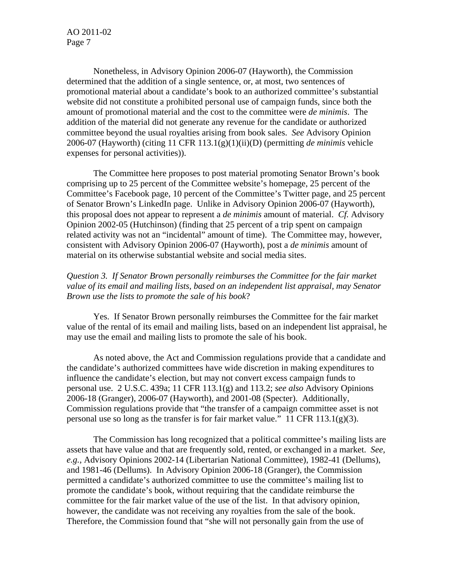Nonetheless, in Advisory Opinion 2006-07 (Hayworth), the Commission determined that the addition of a single sentence, or, at most, two sentences of promotional material about a candidate's book to an authorized committee's substantial website did not constitute a prohibited personal use of campaign funds, since both the amount of promotional material and the cost to the committee were *de minimis*. The addition of the material did not generate any revenue for the candidate or authorized committee beyond the usual royalties arising from book sales. *See* Advisory Opinion 2006-07 (Hayworth) (citing 11 CFR 113.1(g)(1)(ii)(D) (permitting *de minimis* vehicle expenses for personal activities)).

The Committee here proposes to post material promoting Senator Brown's book comprising up to 25 percent of the Committee website's homepage, 25 percent of the Committee's Facebook page, 10 percent of the Committee's Twitter page, and 25 percent of Senator Brown's LinkedIn page. Unlike in Advisory Opinion 2006-07 (Hayworth), this proposal does not appear to represent a *de minimis* amount of material. *Cf.* Advisory Opinion 2002-05 (Hutchinson) (finding that 25 percent of a trip spent on campaign related activity was not an "incidental" amount of time). The Committee may, however, consistent with Advisory Opinion 2006-07 (Hayworth), post a *de minimis* amount of material on its otherwise substantial website and social media sites.

# *Question 3. If Senator Brown personally reimburses the Committee for the fair market value of its email and mailing lists, based on an independent list appraisal, may Senator Brown use the lists to promote the sale of his book*?

Yes. If Senator Brown personally reimburses the Committee for the fair market value of the rental of its email and mailing lists, based on an independent list appraisal, he may use the email and mailing lists to promote the sale of his book.

 As noted above, the Act and Commission regulations provide that a candidate and the candidate's authorized committees have wide discretion in making expenditures to influence the candidate's election, but may not convert excess campaign funds to personal use. 2 U.S.C. 439a; 11 CFR 113.1(g) and 113.2; *see also* Advisory Opinions 2006-18 (Granger), 2006-07 (Hayworth), and 2001-08 (Specter). Additionally, Commission regulations provide that "the transfer of a campaign committee asset is not personal use so long as the transfer is for fair market value." 11 CFR 113.1(g)(3).

 The Commission has long recognized that a political committee's mailing lists are assets that have value and that are frequently sold, rented, or exchanged in a market. *See, e.g.*, Advisory Opinions 2002-14 (Libertarian National Committee), 1982-41 (Dellums), and 1981-46 (Dellums). In Advisory Opinion 2006-18 (Granger), the Commission permitted a candidate's authorized committee to use the committee's mailing list to promote the candidate's book, without requiring that the candidate reimburse the committee for the fair market value of the use of the list. In that advisory opinion, however, the candidate was not receiving any royalties from the sale of the book. Therefore, the Commission found that "she will not personally gain from the use of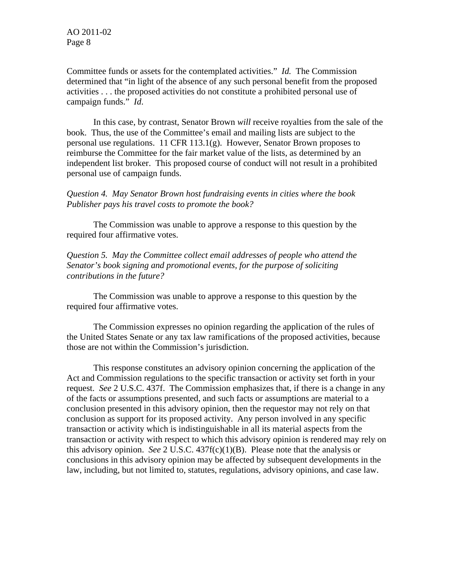Committee funds or assets for the contemplated activities." *Id.* The Commission determined that "in light of the absence of any such personal benefit from the proposed activities . . . the proposed activities do not constitute a prohibited personal use of campaign funds." *Id*.

In this case, by contrast, Senator Brown *will* receive royalties from the sale of the book. Thus, the use of the Committee's email and mailing lists are subject to the personal use regulations. 11 CFR 113.1(g). However, Senator Brown proposes to reimburse the Committee for the fair market value of the lists, as determined by an independent list broker. This proposed course of conduct will not result in a prohibited personal use of campaign funds.

*Question 4. May Senator Brown host fundraising events in cities where the book Publisher pays his travel costs to promote the book?* 

 The Commission was unable to approve a response to this question by the required four affirmative votes.

*Question 5. May the Committee collect email addresses of people who attend the Senator's book signing and promotional events, for the purpose of soliciting contributions in the future?* 

 The Commission was unable to approve a response to this question by the required four affirmative votes.

The Commission expresses no opinion regarding the application of the rules of the United States Senate or any tax law ramifications of the proposed activities, because those are not within the Commission's jurisdiction.

This response constitutes an advisory opinion concerning the application of the Act and Commission regulations to the specific transaction or activity set forth in your request. *See* 2 U.S.C. 437f. The Commission emphasizes that, if there is a change in any of the facts or assumptions presented, and such facts or assumptions are material to a conclusion presented in this advisory opinion, then the requestor may not rely on that conclusion as support for its proposed activity. Any person involved in any specific transaction or activity which is indistinguishable in all its material aspects from the transaction or activity with respect to which this advisory opinion is rendered may rely on this advisory opinion. *See* 2 U.S.C. 437f(c)(1)(B). Please note that the analysis or conclusions in this advisory opinion may be affected by subsequent developments in the law, including, but not limited to, statutes, regulations, advisory opinions, and case law.